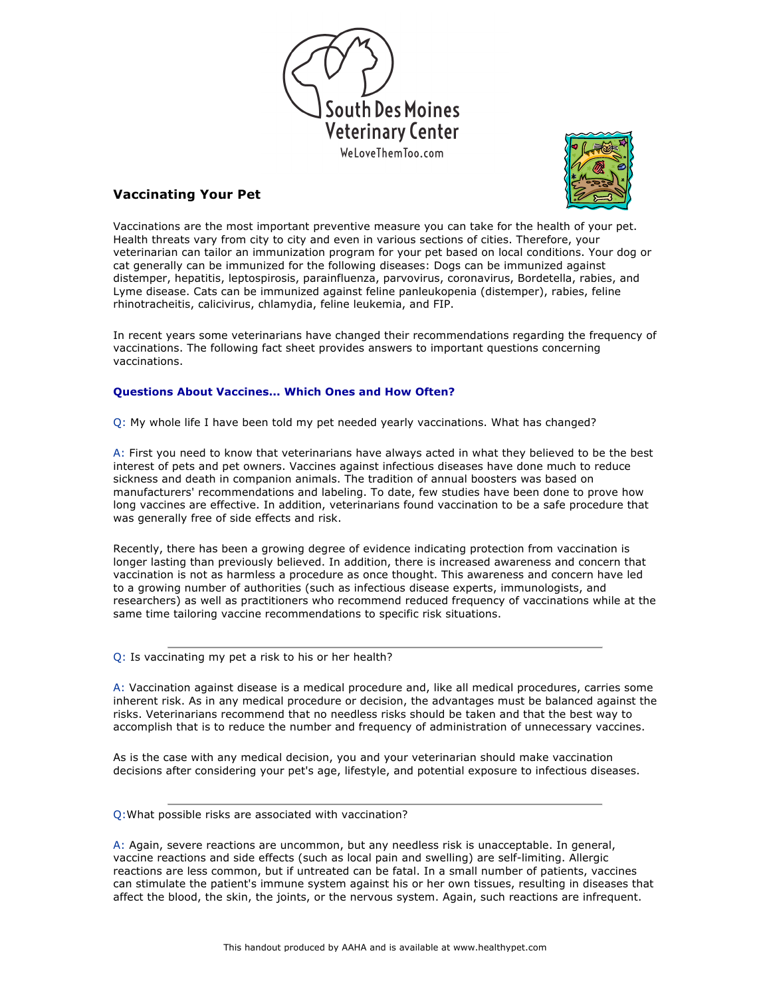



## **Vaccinating Your Pet**

Vaccinations are the most important preventive measure you can take for the health of your pet. Health threats vary from city to city and even in various sections of cities. Therefore, your veterinarian can tailor an immunization program for your pet based on local conditions. Your dog or cat generally can be immunized for the following diseases: Dogs can be immunized against distemper, hepatitis, leptospirosis, parainfluenza, parvovirus, coronavirus, Bordetella, rabies, and Lyme disease. Cats can be immunized against feline panleukopenia (distemper), rabies, feline rhinotracheitis, calicivirus, chlamydia, feline leukemia, and FIP.

In recent years some veterinarians have changed their recommendations regarding the frequency of vaccinations. The following fact sheet provides answers to important questions concerning vaccinations.

## **Questions About Vaccines... Which Ones and How Often?**

Q: My whole life I have been told my pet needed yearly vaccinations. What has changed?

A: First you need to know that veterinarians have always acted in what they believed to be the best interest of pets and pet owners. Vaccines against infectious diseases have done much to reduce sickness and death in companion animals. The tradition of annual boosters was based on manufacturers' recommendations and labeling. To date, few studies have been done to prove how long vaccines are effective. In addition, veterinarians found vaccination to be a safe procedure that was generally free of side effects and risk.

Recently, there has been a growing degree of evidence indicating protection from vaccination is longer lasting than previously believed. In addition, there is increased awareness and concern that vaccination is not as harmless a procedure as once thought. This awareness and concern have led to a growing number of authorities (such as infectious disease experts, immunologists, and researchers) as well as practitioners who recommend reduced frequency of vaccinations while at the same time tailoring vaccine recommendations to specific risk situations.

Q: Is vaccinating my pet a risk to his or her health?

A: Vaccination against disease is a medical procedure and, like all medical procedures, carries some inherent risk. As in any medical procedure or decision, the advantages must be balanced against the risks. Veterinarians recommend that no needless risks should be taken and that the best way to accomplish that is to reduce the number and frequency of administration of unnecessary vaccines.

As is the case with any medical decision, you and your veterinarian should make vaccination decisions after considering your pet's age, lifestyle, and potential exposure to infectious diseases.

## Q:What possible risks are associated with vaccination?

A: Again, severe reactions are uncommon, but any needless risk is unacceptable. In general, vaccine reactions and side effects (such as local pain and swelling) are self-limiting. Allergic reactions are less common, but if untreated can be fatal. In a small number of patients, vaccines can stimulate the patient's immune system against his or her own tissues, resulting in diseases that affect the blood, the skin, the joints, or the nervous system. Again, such reactions are infrequent.